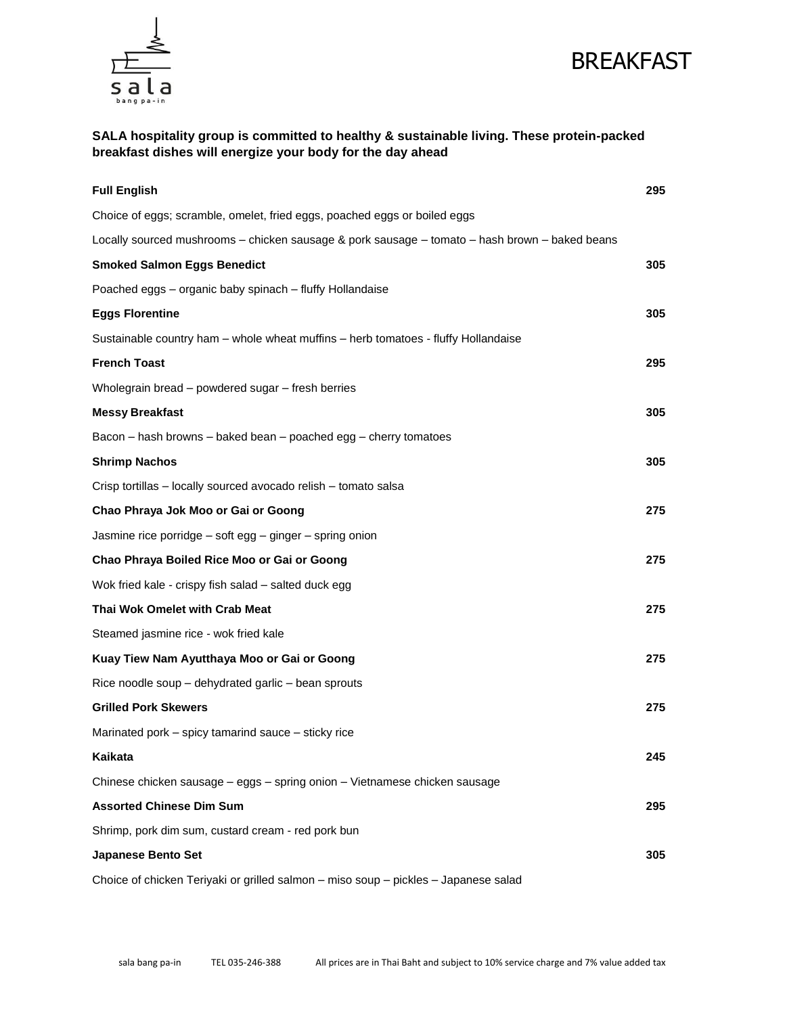



SALA hospitality group is committed to healthy & sustainable living. These protein-packed breakfast dishes will energize your body for the day ahead

| <b>Full English</b>                                                                            | 295 |
|------------------------------------------------------------------------------------------------|-----|
| Choice of eggs; scramble, omelet, fried eggs, poached eggs or boiled eggs                      |     |
| Locally sourced mushrooms - chicken sausage & pork sausage - tomato - hash brown - baked beans |     |
| Smoked Salmon Eggs Benedict                                                                    | 305 |
| Poached eggs - organic baby spinach - fluffy Hollandaise                                       |     |
| <b>Eggs Florentine</b>                                                                         | 305 |
| Sustainable country ham - whole wheat muffins - herb tomatoes - fluffy Hollandaise             |     |
| French Toast                                                                                   | 295 |
| Wholegrain bread – powdered sugar – fresh berries                                              |     |
| Messy Breakfast                                                                                | 305 |
| Bacon – hash browns – baked bean – poached egg – cherry tomatoes                               |     |
| <b>Shrimp Nachos</b>                                                                           | 305 |
| Crisp tortillas - locally sourced avocado relish - tomato salsa                                |     |
| Chao Phraya Jok Moo or Gai or Goong                                                            | 275 |
| Jasmine rice porridge $-$ soft egg $-$ ginger $-$ spring onion                                 |     |
| Chao Phraya Boiled Rice Moo or Gai or Goong                                                    | 275 |
| Wok fried kale - crispy fish salad - salted duck egg                                           |     |
| Thai Wok Omelet with Crab Meat                                                                 | 275 |
| Steamed jasmine rice - wok fried kale                                                          |     |
| Kuay Tiew Nam Ayutthaya Moo or Gai or Goong                                                    | 275 |
| Rice noodle soup $-$ dehydrated garlic $-$ bean sprouts                                        |     |
| <b>Grilled Pork Skewers</b>                                                                    | 275 |
| Marinated pork – spicy tamarind sauce – sticky rice                                            |     |
| Kaikata                                                                                        | 245 |
| Chinese chicken sausage - eggs - spring onion - Vietnamese chicken sausage                     |     |
| Assorted Chinese Dim Sum                                                                       | 295 |
| Shrimp, pork dim sum, custard cream - red pork bun                                             |     |
| Japanese Bento Set                                                                             | 305 |
| Choice of chicken Teriyaki or grilled salmon - miso soup - pickles - Japanese salad            |     |